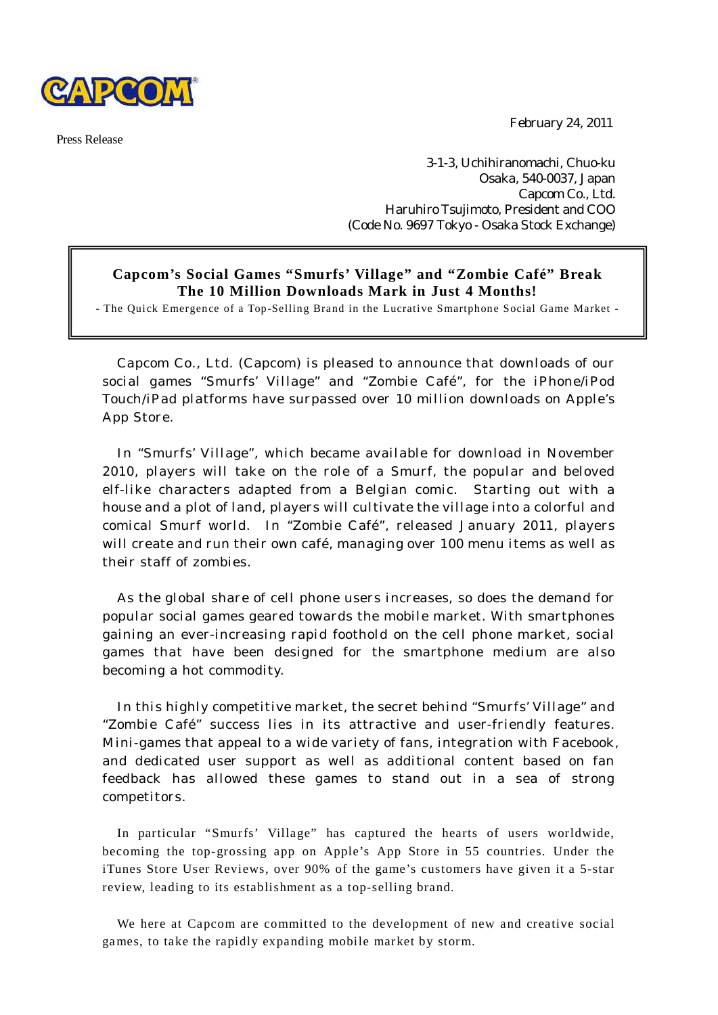

Press Release

February 24, 2011

3-1-3, Uchihiranomachi, Chuo-ku Osaka, 540-0037, Japan Capcom Co., Ltd. Haruhiro Tsujimoto, President and COO (Code No. 9697 Tokyo - Osaka Stock Exchange)

## **Capcom's Social Games "Smurfs' Village" and "Zombie Café" Break The 10 Million Downloads Mark in Just 4 Months!**

- The Quick Emergence of a Top-Selling Brand in the Lucrative Smartphone Social Game Market -

Capcom Co., Ltd. (Capcom) is pleased to announce that downloads of our social games "Smurfs' Village" and "Zombie Café", for the iPhone/iPod Touch/iPad platforms have surpassed over 10 million downloads on Apple's App Store.

In "Smurfs' Village", which became available for download in November 2010, players will take on the role of a Smurf, the popular and beloved elf-like characters adapted from a Belgian comic. Starting out with a house and a plot of land, players will cultivate the village into a colorful and comical Smurf world. In "Zombie Café", released January 2011, players will create and run their own café, managing over 100 menu items as well as their staff of zombies.

As the global share of cell phone users increases, so does the demand for popular social games geared towards the mobile market. With smartphones gaining an ever-increasing rapid foothold on the cell phone market, social games that have been designed for the smartphone medium are also becoming a hot commodity.

In this highly competitive market, the secret behind "Smurfs' Village" and "Zombie Café" success lies in its attractive and user-friendly features. Mini-games that appeal to a wide variety of fans, integration with Facebook, and dedicated user support as well as additional content based on fan feedback has allowed these games to stand out in a sea of strong competitors.

In particular "Smurfs' Village" has captured the hearts of users worldwide, becoming the top-grossing app on Apple's App Store in 55 countries. Under the iTunes Store User Reviews, over 90% of the game's customers have given it a 5-star review, leading to its establishment as a top-selling brand.

We here at Capcom are committed to the development of new and creative social games, to take the rapidly expanding mobile market by storm.